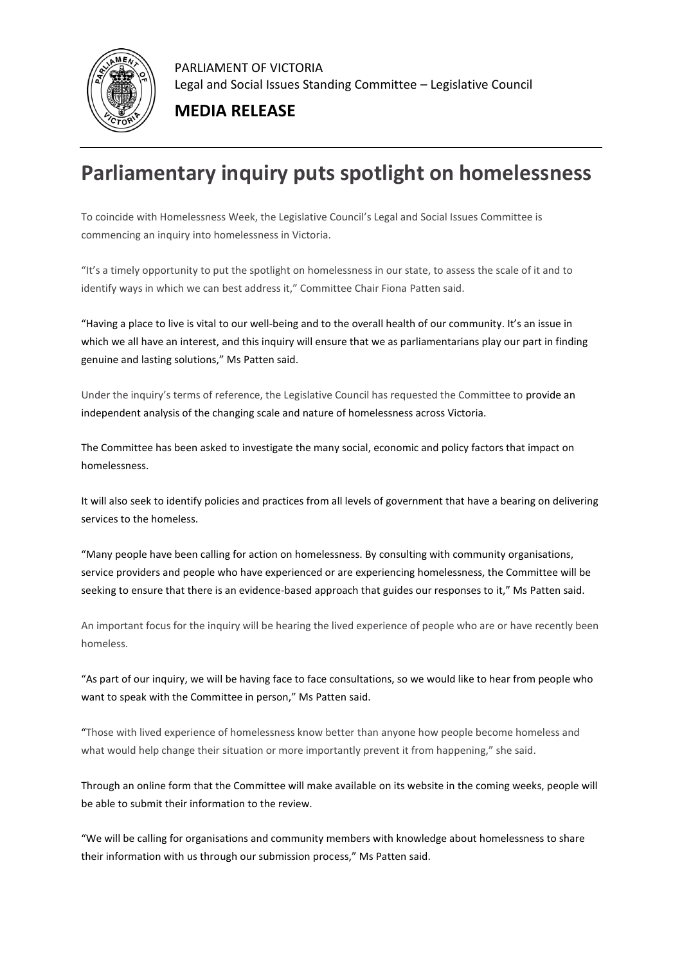

PARLIAMENT OF VICTORIA Legal and Social Issues Standing Committee – Legislative Council

**MEDIA RELEASE**

## **Parliamentary inquiry puts spotlight on homelessness**

To coincide with Homelessness Week, the Legislative Council's Legal and Social Issues Committee is commencing an inquiry into homelessness in Victoria.

"It's a timely opportunity to put the spotlight on homelessness in our state, to assess the scale of it and to identify ways in which we can best address it," Committee Chair Fiona Patten said.

"Having a place to live is vital to our well-being and to the overall health of our community. It's an issue in which we all have an interest, and this inquiry will ensure that we as parliamentarians play our part in finding genuine and lasting solutions," Ms Patten said.

Under the inquiry's terms of reference, the Legislative Council has requested the Committee to provide an independent analysis of the changing scale and nature of homelessness across Victoria.

The Committee has been asked to investigate the many social, economic and policy factors that impact on homelessness.

It will also seek to identify policies and practices from all levels of government that have a bearing on delivering services to the homeless.

"Many people have been calling for action on homelessness. By consulting with community organisations, service providers and people who have experienced or are experiencing homelessness, the Committee will be seeking to ensure that there is an evidence-based approach that guides our responses to it," Ms Patten said.

An important focus for the inquiry will be hearing the lived experience of people who are or have recently been homeless.

"As part of our inquiry, we will be having face to face consultations, so we would like to hear from people who want to speak with the Committee in person," Ms Patten said.

"Those with lived experience of homelessness know better than anyone how people become homeless and what would help change their situation or more importantly prevent it from happening," she said.

Through an online form that the Committee will make available on its website in the coming weeks, people will be able to submit their information to the review.

"We will be calling for organisations and community members with knowledge about homelessness to share their information with us through our submission process," Ms Patten said.